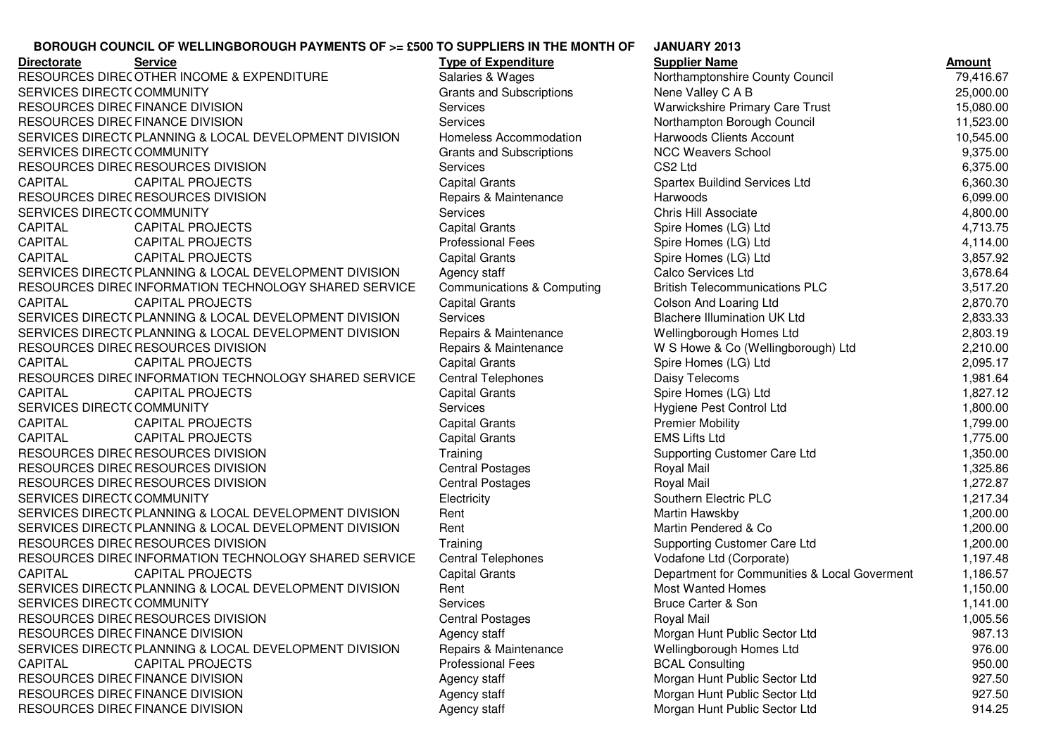## **BOROUGH COUNCIL OF WELLINGBOROUGH PAYMENTS OF >= £500 TO SUPPLIERS IN THE MONTH OF**

**Directorate Service Type of Expenditure Supplier Name Amount** RESOURCES DIRECOTHER INCOME & EXPENDITURE SERVICES DIRECT(COMMUNITY RESOURCES DIRECFINANCE DIVISION<br>RESOURCES RIBECTIVALLE BIVISION RESOURCES DIRECFINANCE DIVISION<br>CERVICES DIRECTARI ALUMIO 3 LOCA SERVICES DIRECT( PLANNING & LOCAL DEVELOPMENT DIVISION Homeless Accommodation Harwoods Clients Account 10,545.00<br>Care in the case of the case of the case of the case of the case of the case of the case of the case of the c SERVICES DIRECT(COMMUNITY RESOURCES DIRECRESOURCES DIVISION CAPITAL CAPITAL PROJECTS Capital Grants Spartex Buildind Services Ltd 6,360.30RESOURCES DIRECRESOURCES DIVISION SERVICES DIRECT(COMMUNITY CAPITAL CAPITAL PROJECTS Capital Grants Spire Homes (LG) LtdCAPITAL CAPITAL PROJECTS Professional Fees Spire Homes (LG) LtdCAPITAL CAPITAL PROJECTS CAPITAL CAPITAL PROJECTS Capital Grants Capital Grants Capital Communications (LG) Ltd SERVICES DIRECT(PLANNING & LOCAL DEVELOPMENT DIVISION Agency staff Calco Services Ltd 3,678.64<br>RESOLUTATE PIETE PLEGIOLETICI LOCAL DEVELOPMENT DIVISION Agency staff Calco Services Ltd 2000 Calco Services L RESOURCES DIREC INFORMATION TECHNOLOGY SHARED SERVICE Communications & Computing British Telecommunications PLC 3,517.20<br>Canadian British Telecommunications PLC 3,517.20 CAPITAL CAPITAL PROJECTS Capital Grants Colson And Loaring Ltd 2,870.70SERVICES DIRECT( PLANNING & LOCAL DEVELOPMENT DIVISION Services Blachere Illumination UK Ltd 2,833.33<br>CERVICES DIRECT( D. M. WILLOWS & LOCAL DEVELOPMENT DIVISION DE L'ARALLY ANNI LA MANUSICAL DIVISION DI LILIMINA SERVICES DIRECT(PLANNING & LOCAL DEVELOPMENT DIVISION Repairs & Maintenance Wellingborough Homes Ltd 2,803.19<br>RESCURSES RIFES RESCURSES RIVISION REPAIRS RESOURCES DIRECRESOURCES DIVISION CAPITAL CAPITAL PROJECTS CAPITAL CAPITAL CAPITAL PROJECTS<br>
RESOURCES DIREC INFORMATION TECHNOLOGY SHARED SERVICE Central Telephones Daisy Telecoms RESOURCES DIREC INFORMATION TECHNOLOGY SHARED SERVICE Central Telephones Daisy Telecoms 1,981.64<br>CARLIN INFORMATION TECHNOLOGY SHARED SERVICE Central Telephones Daisy Telecoms (CONNUMENTAL CARLIN INCORPORATI CAPITAL CAPITAL PROJECTS Capital Grants Capital Grants Spire Homes (LG) Ltd<br>SERVICES DIRECT( COMMUNITY Services Services Services Playgiene Pest Control Ltd SERVICES DIRECT(COMMUNITY CAPITAL CAPITAL PROJECTS Capital Grants Premier MobilityCAPITAL CAPITAL PROJECTS Capital Grants EMS Lifts LtdRESOURCES DIRECRESOURCES DIVISION RESOURCES DIRECRESOURCES DIVISION RESOURCES DIRECRESOURCES DIVISION SERVICES DIRECT(COMMUNITY COMMUNITY Electricity Southern Electric PLCSERVICES DIRECTORATE PLANNING & LOCAL DEVELOPMENT DIVISION Rent Martin Hawskby 1,200.00 SERVICES DIRECT( PLANNING & LOCAL DEVELOPMENT DIVISION Rent Martin Pendered & Co 1,200.00 1,200.00<br>RESOLUTATE PIESERESOLUDATE PILICIAL LOCAL PULLE DI LOCAL TURISMENT DI LOCALI TELLI DI LOCALI LOCALI LOCALI LOC RESOURCES DIRECRESOURCES DIVISION RESOURCES DIREC INFORMATION TECHNOLOGY SHARED SERVICE Central Telephones Vodafone Ltd (Corporate) 1,197.48<br>CARLIN ALSO SERVICE CONTACTORY STATES IN A LOCATE CONTRACTORY OF CONTRACTORY OF CONTRACTORY OF CONTRACTORY OF CAPITAL CAPITAL PROJECTS Capital Grants Capital Grants Department for Communities & Local Goverment 1,186.57<br>SERVICES DIRECT( PLANNING & LOCAL DEVELOPMENT DIVISION Rent Most Most Wanted Homes 1.150.00 SERVICES DIRECT( PLANNING & LOCAL DEVELOPMENT DIVISION Rent Most Wanted Homes 1,150.00<br>CERVICES DIRECT( COMMUNITY) SERVICES DIRECT(COMMUNITY RESOURCES DIRECRESOURCES DIVISION RESOURCES DIRECFINANCE DIVISION<br>CERVICES DIRECTARI ALUMIO 3 LOCA SERVICES DIRECT(PLANNING & LOCAL DEVELOPMENT DIVISION Repairs & Maintenance Wellingborough Homes Ltd 976.00<br>CARITAL REPORTED THE REPORT CAPITAL CAPITAL PROJECTS Professional Fees BCAL ConsultingRESOURCES DIRECFINANCE DIVISION<br>RESOURCES RIBECTIVALLE BIVISION RESOURCES DIRECFINANCE DIVISION<br>RESOURCES RIBECTIVALLE BIVISION RESOURCES DIRECFINANCE DIVISION

**JANUARY 2013Supplier Name** Salaries & Wages<br>
Grants and Subscriptions<br>
OTHER INCOMENT Northamptonshire County Council<br>
25,000.00 COMMUNITY Grants and Subscriptions Nene Valley C A B 25,000.00 Services Warwickshire Primary Care Trust 15,080.00 Services Morthampton Borough Council (11,523.00<br>Homeless Accommodation Harwoods Clients Account (10,545.00 COMMUNITY 6.375.00 COMMUNITY Subscriptions COMMUNITY 9,375.00 COMMUNITY 9,375.00 RESOURCES DIVISION Services CS2 Ltd 6,375.00 6.099.00 RESOURCES DIVISION Repairs & Maintenance Harwoods 6,099.00 COMMUNITY Services Chris Hill Associate 4,800.00 4,713.75 4,114.00 3,857.92<br>3.678.64 2.833.33 RESOURCES DIVISION **Repairs & Maintenance** W S Howe & Co (Wellingborough) Ltd 2,210.00<br>CAPITAL PROJECTS Capital Grants Capital Grants Spire Homes (LG) Ltd 2.095.17 2,095.17<br>1.981.64 1,827.12 COMMUNITY Services Hygiene Pest Control Ltd 1,800.00 1,799.001.775.00 1,775.00 Training 1,350.00<br>Central Postages The Supporting Customer Care Ltd 1,350.00<br>1,325.86 1,325.86 RESOURCES DIVISION Central Postages Royal Mail 1,325.86 RESOURCES DIVISION Central Postages Royal Mail 1,272.87 C 1,217.34 Training 1,200.00<br>Central Telephones Contral Telephones Contral Telephones Contral Telephones Contral 1,197.48 1.150.00 COMMUNITY Services Bruce Carter & Son 1,141.00 RESOURCES DIVISION Central Postages Royal Mail 1,005.56 Agency staff Morgan Hunt Public Sector Ltd<br>
Repairs & Maintenance Mellingborough Homes Ltd 976.00 950.00 Agency staff **Auch 1997 Morgan Hunt Public Sector Ltd** 927.50<br>Agency staff **Morgan Hunt Public Sector Ltd** 927.50 Agency staff **Accord Entity Controller Morgan Hunt Public Sector Ltd** 600 and 1927.50<br>Agency staff **Accord Morgan Hunt Public Sector Ltd** 600 and 14.25 Morgan Hunt Public Sector Ltd